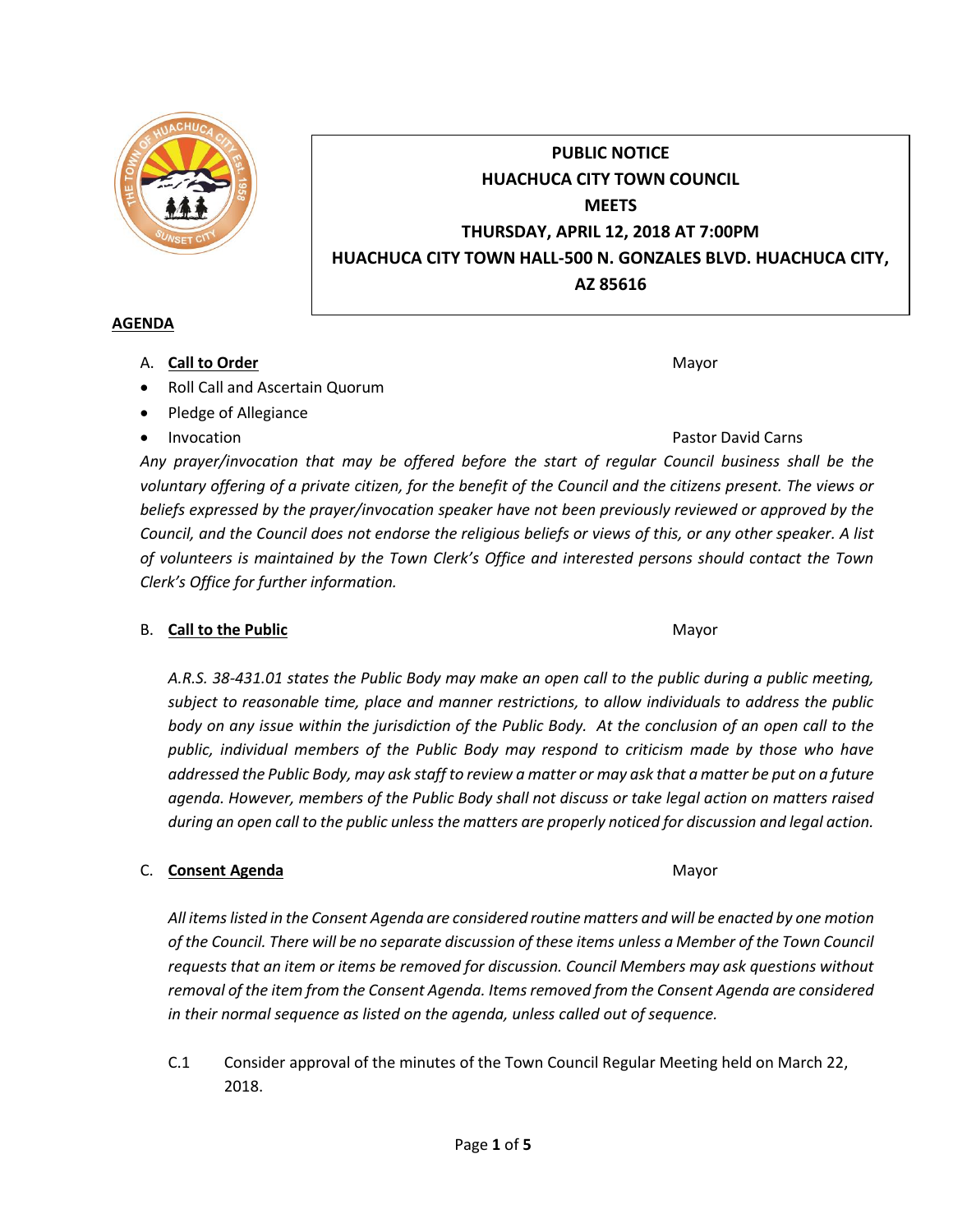

*voluntary offering of a private citizen, for the benefit of the Council and the citizens present. The views or beliefs expressed by the prayer/invocation speaker have not been previously reviewed or approved by the Council, and the Council does not endorse the religious beliefs or views of this, or any other speaker. A list of volunteers is maintained by the Town Clerk's Office and interested persons should contact the Town Clerk's Office for further information.*

# B. **Call to the Public** Mayor **Mayor** Mayor **Mayor** Mayor

*A.R.S. 38-431.01 states the Public Body may make an open call to the public during a public meeting, subject to reasonable time, place and manner restrictions, to allow individuals to address the public body on any issue within the jurisdiction of the Public Body. At the conclusion of an open call to the public, individual members of the Public Body may respond to criticism made by those who have addressed the Public Body, may ask staff to review a matter or may ask that a matter be put on a future agenda. However, members of the Public Body shall not discuss or take legal action on matters raised during an open call to the public unless the matters are properly noticed for discussion and legal action.*

# C. **Consent Agenda** Mayor **C. Consent Agenda** Mayor **Mayor**

*All items listed in the Consent Agenda are considered routine matters and will be enacted by one motion of the Council. There will be no separate discussion of these items unless a Member of the Town Council requests that an item or items be removed for discussion. Council Members may ask questions without removal of the item from the Consent Agenda. Items removed from the Consent Agenda are considered in their normal sequence as listed on the agenda, unless called out of sequence.*

C.1 Consider approval of the minutes of the Town Council Regular Meeting held on March 22, 2018.

**PUBLIC NOTICE HUACHUCA CITY TOWN COUNCIL MEETS THURSDAY, APRIL 12, 2018 AT 7:00PM HUACHUCA CITY TOWN HALL-500 N. GONZALES BLVD. HUACHUCA CITY, AZ 85616**

## **AGENDA**

- A. **Call to Order** Mayor **Mayor** Mayor **Mayor** Mayor **Mayor**
- Roll Call and Ascertain Quorum
- Pledge of Allegiance
-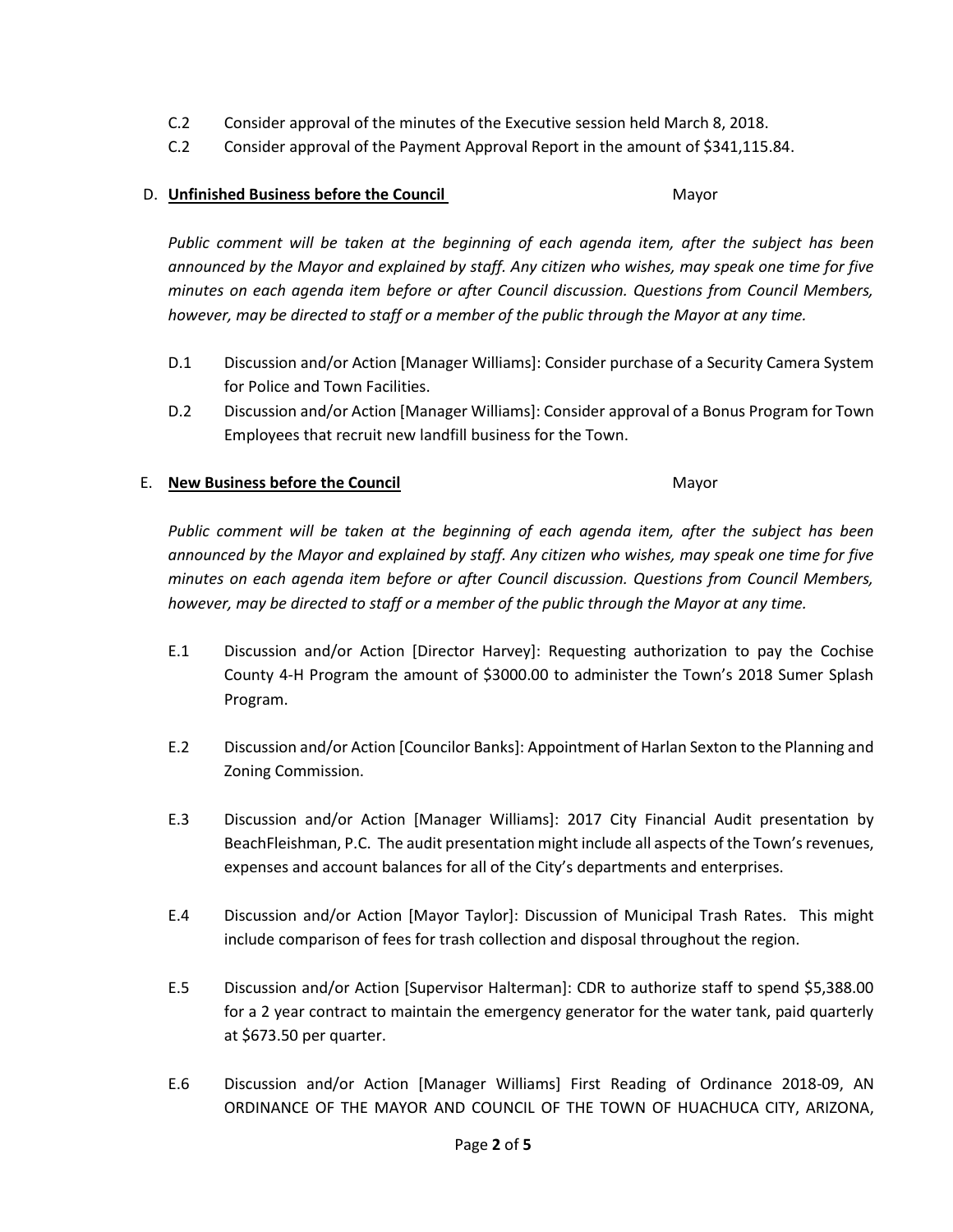- C.2 Consider approval of the minutes of the Executive session held March 8, 2018.
- C.2 Consider approval of the Payment Approval Report in the amount of \$341,115.84.

### D. **Unfinished Business before the Council** Mayor

*Public comment will be taken at the beginning of each agenda item, after the subject has been announced by the Mayor and explained by staff. Any citizen who wishes, may speak one time for five minutes on each agenda item before or after Council discussion. Questions from Council Members, however, may be directed to staff or a member of the public through the Mayor at any time.*

- D.1 Discussion and/or Action [Manager Williams]: Consider purchase of a Security Camera System for Police and Town Facilities.
- D.2 Discussion and/or Action [Manager Williams]: Consider approval of a Bonus Program for Town Employees that recruit new landfill business for the Town.

### E. **New Business before the Council** Mayor

*Public comment will be taken at the beginning of each agenda item, after the subject has been announced by the Mayor and explained by staff. Any citizen who wishes, may speak one time for five minutes on each agenda item before or after Council discussion. Questions from Council Members, however, may be directed to staff or a member of the public through the Mayor at any time.*

- E.1 Discussion and/or Action [Director Harvey]: Requesting authorization to pay the Cochise County 4-H Program the amount of \$3000.00 to administer the Town's 2018 Sumer Splash Program.
- E.2 Discussion and/or Action [Councilor Banks]: Appointment of Harlan Sexton to the Planning and Zoning Commission.
- E.3 Discussion and/or Action [Manager Williams]: 2017 City Financial Audit presentation by BeachFleishman, P.C. The audit presentation might include all aspects of the Town's revenues, expenses and account balances for all of the City's departments and enterprises.
- E.4 Discussion and/or Action [Mayor Taylor]: Discussion of Municipal Trash Rates. This might include comparison of fees for trash collection and disposal throughout the region.
- E.5 Discussion and/or Action [Supervisor Halterman]: CDR to authorize staff to spend \$5,388.00 for a 2 year contract to maintain the emergency generator for the water tank, paid quarterly at \$673.50 per quarter.
- E.6 Discussion and/or Action [Manager Williams] First Reading of Ordinance 2018-09, AN ORDINANCE OF THE MAYOR AND COUNCIL OF THE TOWN OF HUACHUCA CITY, ARIZONA,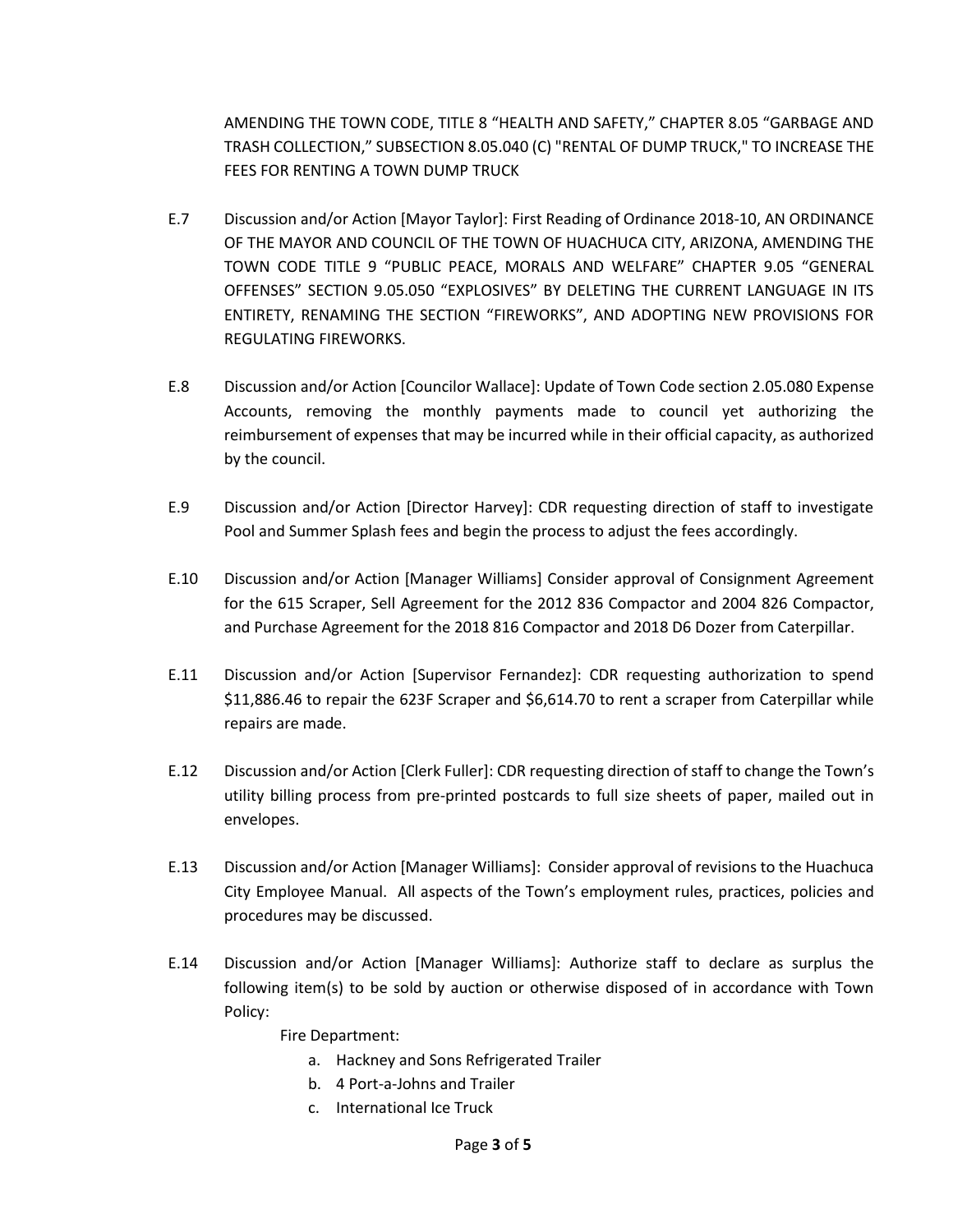AMENDING THE TOWN CODE, TITLE 8 "HEALTH AND SAFETY," CHAPTER 8.05 "GARBAGE AND TRASH COLLECTION," SUBSECTION 8.05.040 (C) "RENTAL OF DUMP TRUCK," TO INCREASE THE FEES FOR RENTING A TOWN DUMP TRUCK

- E.7 Discussion and/or Action [Mayor Taylor]: First Reading of Ordinance 2018-10, AN ORDINANCE OF THE MAYOR AND COUNCIL OF THE TOWN OF HUACHUCA CITY, ARIZONA, AMENDING THE TOWN CODE TITLE 9 "PUBLIC PEACE, MORALS AND WELFARE" CHAPTER 9.05 "GENERAL OFFENSES" SECTION 9.05.050 "EXPLOSIVES" BY DELETING THE CURRENT LANGUAGE IN ITS ENTIRETY, RENAMING THE SECTION "FIREWORKS", AND ADOPTING NEW PROVISIONS FOR REGULATING FIREWORKS.
- E.8 Discussion and/or Action [Councilor Wallace]: Update of Town Code section 2.05.080 Expense Accounts, removing the monthly payments made to council yet authorizing the reimbursement of expenses that may be incurred while in their official capacity, as authorized by the council.
- E.9 Discussion and/or Action [Director Harvey]: CDR requesting direction of staff to investigate Pool and Summer Splash fees and begin the process to adjust the fees accordingly.
- E.10 Discussion and/or Action [Manager Williams] Consider approval of Consignment Agreement for the 615 Scraper, Sell Agreement for the 2012 836 Compactor and 2004 826 Compactor, and Purchase Agreement for the 2018 816 Compactor and 2018 D6 Dozer from Caterpillar.
- E.11 Discussion and/or Action [Supervisor Fernandez]: CDR requesting authorization to spend \$11,886.46 to repair the 623F Scraper and \$6,614.70 to rent a scraper from Caterpillar while repairs are made.
- E.12 Discussion and/or Action [Clerk Fuller]: CDR requesting direction of staff to change the Town's utility billing process from pre-printed postcards to full size sheets of paper, mailed out in envelopes.
- E.13 Discussion and/or Action [Manager Williams]: Consider approval of revisions to the Huachuca City Employee Manual. All aspects of the Town's employment rules, practices, policies and procedures may be discussed.
- E.14 Discussion and/or Action [Manager Williams]: Authorize staff to declare as surplus the following item(s) to be sold by auction or otherwise disposed of in accordance with Town Policy:

Fire Department:

- a. Hackney and Sons Refrigerated Trailer
- b. 4 Port-a-Johns and Trailer
- c. International Ice Truck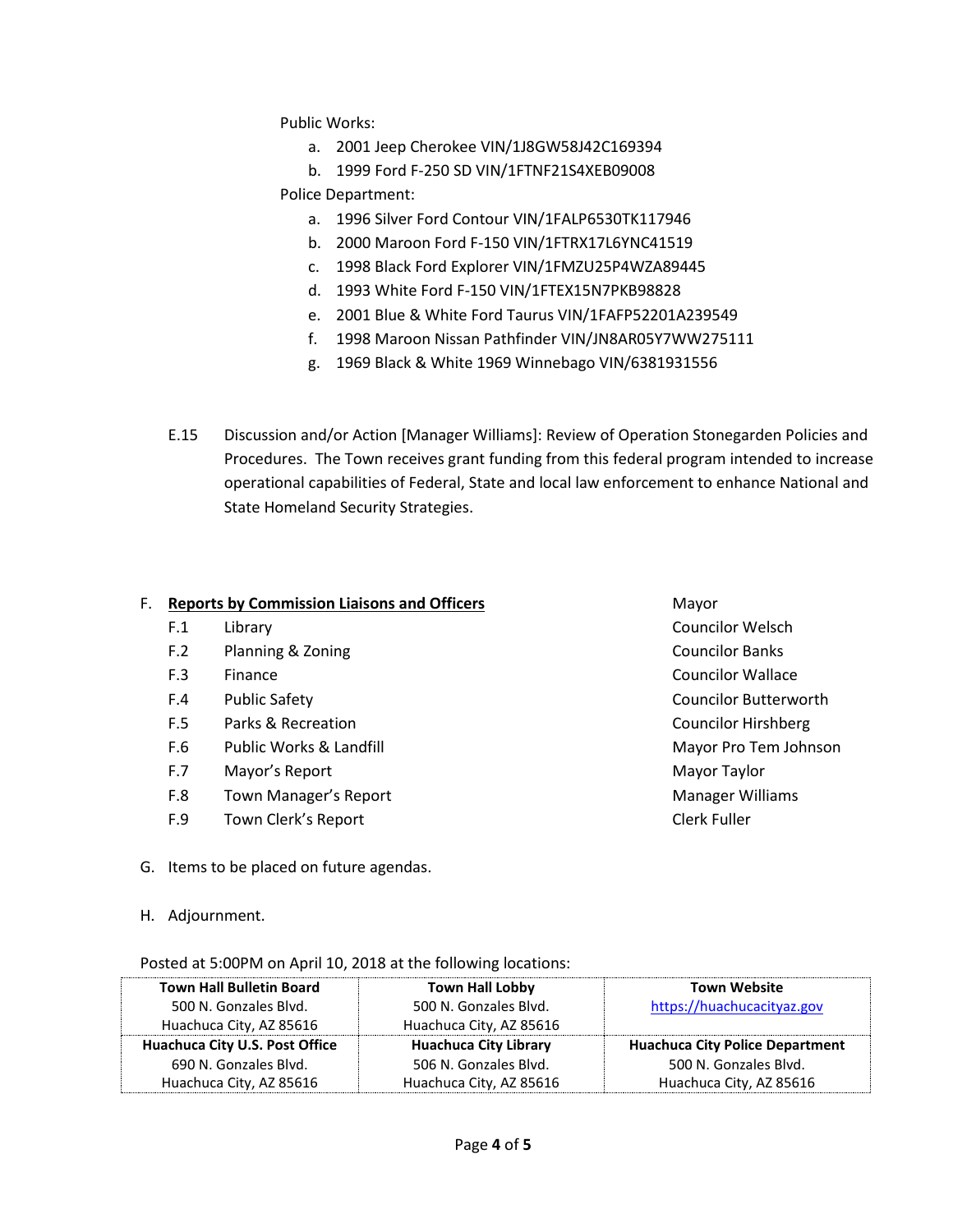Public Works:

- a. 2001 Jeep Cherokee VIN/1J8GW58J42C169394
- b. 1999 Ford F-250 SD VIN/1FTNF21S4XEB09008

Police Department:

- a. 1996 Silver Ford Contour VIN/1FALP6530TK117946
- b. 2000 Maroon Ford F-150 VIN/1FTRX17L6YNC41519
- c. 1998 Black Ford Explorer VIN/1FMZU25P4WZA89445
- d. 1993 White Ford F-150 VIN/1FTEX15N7PKB98828
- e. 2001 Blue & White Ford Taurus VIN/1FAFP52201A239549
- f. 1998 Maroon Nissan Pathfinder VIN/JN8AR05Y7WW275111
- g. 1969 Black & White 1969 Winnebago VIN/6381931556
- E.15 Discussion and/or Action [Manager Williams]: Review of Operation Stonegarden Policies and Procedures. The Town receives grant funding from this federal program intended to increase operational capabilities of Federal, State and local law enforcement to enhance National and State Homeland Security Strategies.

#### F. **Reports by Commission Liaisons and Officers Mayor** Mayor

- F.1 Library Councilor Welsch
- F.2 Planning & Zoning Councilor Banks
- F.3 Finance **Councilor Wallace Councilor Wallace**
- F.4 Public Safety Councilor Butterworth
- F.5 Parks & Recreation Councilor Hirshberg
- F.6 Public Works & Landfill Mayor Pro Tem Johnson
- F.7 Mayor's Report **Mayor** Taylor Communications and Mayor Taylor
- F.8 Town Manager's Report **Manager Williams**
- F.9 Town Clerk's Report Clerk Fuller
- G. Items to be placed on future agendas.
- H. Adjournment.

#### Posted at 5:00PM on April 10, 2018 at the following locations:

| <b>Town Hall Bulletin Board</b> | <b>Town Hall Lobby</b>       | <b>Town Website</b>                    |
|---------------------------------|------------------------------|----------------------------------------|
| 500 N. Gonzales Blvd.           | 500 N. Gonzales Blvd.        | https://huachucacityaz.gov             |
| Huachuca City, AZ 85616         | Huachuca City, AZ 85616      |                                        |
| Huachuca City U.S. Post Office  | <b>Huachuca City Library</b> | <b>Huachuca City Police Department</b> |
| 690 N. Gonzales Blvd.           | 506 N. Gonzales Blvd.        | 500 N. Gonzales Blvd.                  |
| Huachuca City, AZ 85616         | Huachuca City, AZ 85616      | Huachuca City, AZ 85616                |